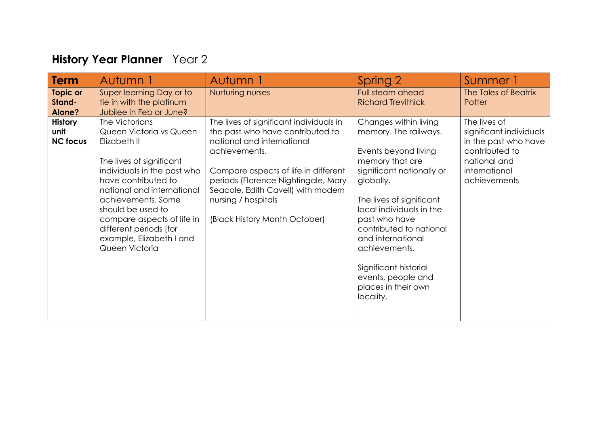## **History Year Planner** Year 2

| <b>Term</b>                               | Autumn 1                                                                                                                                                                                                                                                                                                                   | Autumn 1                                                                                                                                                                                                                                                                                                | Spring 2                                                                                                                                                                                                                                                                                                                                                         | Summer 1                                                                                                                           |
|-------------------------------------------|----------------------------------------------------------------------------------------------------------------------------------------------------------------------------------------------------------------------------------------------------------------------------------------------------------------------------|---------------------------------------------------------------------------------------------------------------------------------------------------------------------------------------------------------------------------------------------------------------------------------------------------------|------------------------------------------------------------------------------------------------------------------------------------------------------------------------------------------------------------------------------------------------------------------------------------------------------------------------------------------------------------------|------------------------------------------------------------------------------------------------------------------------------------|
| <b>Topic or</b><br>Stand-<br>Alone?       | Super learning Day or to<br>tie in with the platinum<br>Jubilee in Feb or June?                                                                                                                                                                                                                                            | Nurturing nurses                                                                                                                                                                                                                                                                                        | Full steam ahead<br><b>Richard Trevithick</b>                                                                                                                                                                                                                                                                                                                    | The Tales of Beatrix<br>Potter                                                                                                     |
| <b>History</b><br>unit<br><b>NC focus</b> | The Victorians<br>Queen Victoria vs Queen<br>Elizabeth II<br>The lives of significant<br>individuals in the past who<br>have contributed to<br>national and international<br>achievements. Some<br>should be used to<br>compare aspects of life in<br>different periods [for<br>example, Elizabeth I and<br>Queen Victoria | The lives of significant individuals in<br>the past who have contributed to<br>national and international<br>achievements.<br>Compare aspects of life in different<br>periods (Florence Nightingale, Mary<br>Seacole, Edith Cavell) with modern<br>nursing / hospitals<br>(Black History Month October) | Changes within living<br>memory. The railways.<br>Events beyond living<br>memory that are<br>significant nationally or<br>globally.<br>The lives of significant<br>local individuals in the<br>past who have<br>contributed to national<br>and international<br>achievements.<br>Significant historial<br>events, people and<br>places in their own<br>locality. | The lives of<br>significant individuals<br>in the past who have<br>contributed to<br>national and<br>international<br>achievements |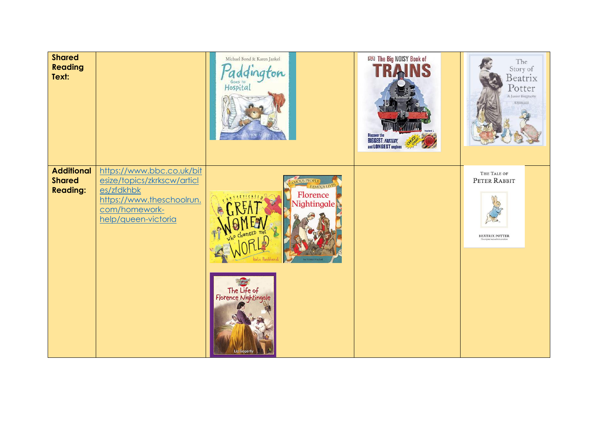| <b>Shared</b><br><b>Reading</b><br>Text:              |                                                                                                                                             | Michael Bond & Karen Jankel<br><i><u>Addington</u></i>                                                                                                  | <b>IRKI The Big NOISY Book of</b><br>Discover the<br>BIGGEST, <i>FASTEST</i> ,<br>and LONGEST engines | The<br>Story of<br>Beatrix<br>Potter<br>A Junior Biography<br><b>E.WARNILANES</b> |
|-------------------------------------------------------|---------------------------------------------------------------------------------------------------------------------------------------------|---------------------------------------------------------------------------------------------------------------------------------------------------------|-------------------------------------------------------------------------------------------------------|-----------------------------------------------------------------------------------|
| <b>Additional</b><br><b>Shared</b><br><b>Reading:</b> | https://www.bbc.co.uk/bit<br>esize/topics/zkrkscw/articl<br>es/zfdkhbk<br>https://www.theschoolrun.<br>com/homework-<br>help/queen-victoria | <b>MIS PEOP</b><br><b>FAMOUS LIVE</b><br>Florence<br>Nightingale<br><b>THE THE</b><br>Ge Pankhurs<br>The Life of<br>Florence Nightingale<br>Liz Gogerly |                                                                                                       | THE TALE OF<br>PETER RABBIT<br><b>BEATRIX POTTER</b><br>The original and auth     |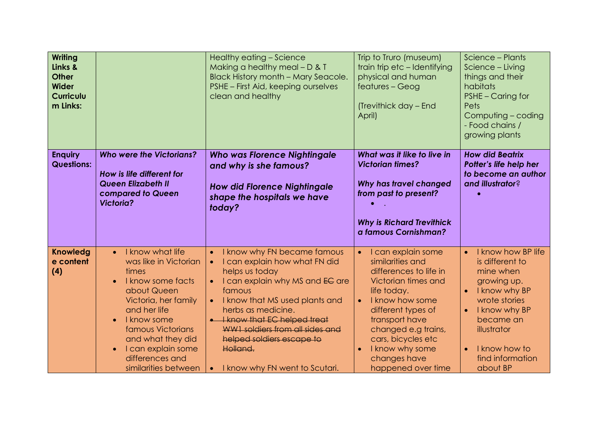| <b>Writing</b><br>Links &<br><b>Other</b><br><b>Wider</b><br><b>Curriculu</b><br>m Links: |                                                                                                                                                                                                                                                                                    | Healthy eating - Science<br>Making a healthy meal $- D & I$<br><b>Black History month - Mary Seacole.</b><br>PSHE - First Aid, keeping ourselves<br>clean and healthy                                                                                                                                                                                                                                           | Trip to Truro (museum)<br>train trip etc - Identifying<br>physical and human<br>features - Geog<br>(Trevithick day - End<br>April)                                                                                                                                                                | Science - Plants<br>Science - Living<br>things and their<br>habitats<br>PSHE - Caring for<br>Pets<br>Computing - coding<br>- Food chains /<br>growing plants                                                                             |
|-------------------------------------------------------------------------------------------|------------------------------------------------------------------------------------------------------------------------------------------------------------------------------------------------------------------------------------------------------------------------------------|-----------------------------------------------------------------------------------------------------------------------------------------------------------------------------------------------------------------------------------------------------------------------------------------------------------------------------------------------------------------------------------------------------------------|---------------------------------------------------------------------------------------------------------------------------------------------------------------------------------------------------------------------------------------------------------------------------------------------------|------------------------------------------------------------------------------------------------------------------------------------------------------------------------------------------------------------------------------------------|
| <b>Enquiry</b><br><b>Questions:</b>                                                       | <b>Who were the Victorians?</b><br>How is life different for<br>Queen Elizabeth II<br>compared to Queen<br><b>Victoria?</b>                                                                                                                                                        | <b>Who was Florence Nightingale</b><br>and why is she famous?<br><b>How did Florence Nightingale</b><br>shape the hospitals we have<br>today?                                                                                                                                                                                                                                                                   | What was it like to live in<br><b>Victorian times?</b><br>Why has travel changed<br>from past to present?<br><b>Why is Richard Trevithick</b><br>a famous Cornishman?                                                                                                                             | <b>How did Beatrix</b><br>Potter's life help her<br>to become an author<br>and illustrator?                                                                                                                                              |
| <b>Knowledg</b><br>e content<br>(4)                                                       | I know what life<br>$\bullet$<br>was like in Victorian<br>times<br>I know some facts<br>$\bullet$<br>about Queen<br>Victoria, her family<br>and her life<br>I know some<br>famous Victorians<br>and what they did<br>I can explain some<br>differences and<br>similarities between | I know why FN became famous<br>$\bullet$<br>I can explain how what FN did<br>$\bullet$<br>helps us today<br>I can explain why MS and EG are<br>$\bullet$<br>famous<br>I know that MS used plants and<br>$\bullet$<br>herbs as medicine.<br><b>H</b> know that EC helped treat<br><b>WW1</b> soldiers from all sides and<br>helped soldiers escape to<br>Holland.<br>I know why FN went to Scutari.<br>$\bullet$ | I can explain some<br>$\bullet$<br>similarities and<br>differences to life in<br>Victorian times and<br>life today.<br>I know how some<br>$\bullet$<br>different types of<br>transport have<br>changed e.g trains,<br>cars, bicycles etc<br>I know why some<br>changes have<br>happened over time | I know how BP life<br>$\bullet$<br>is different to<br>mine when<br>growing up.<br>I know why BP<br>$\bullet$<br>wrote stories<br>I know why BP<br>became an<br>illustrator<br>I know how to<br>$\bullet$<br>find information<br>about BP |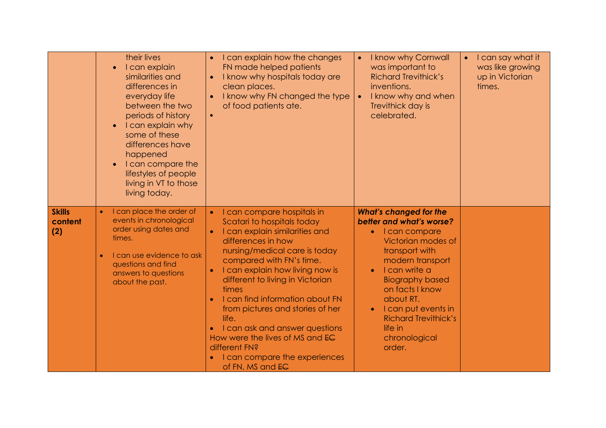|                                 | their lives<br>I can explain<br>similarities and<br>differences in<br>everyday life<br>between the two<br>periods of history<br>I can explain why<br>$\bullet$<br>some of these<br>differences have<br>happened<br>I can compare the<br>lifestyles of people<br>living in VT to those<br>living today. | I can explain how the changes<br>FN made helped patients<br>I know why hospitals today are<br>$\bullet$<br>clean places.<br>I know why FN changed the type<br>of food patients ate.<br>$\bullet$                                                                                                                                                                                                                                                                                                                                                          | I know why Cornwall<br>$\bullet$<br>was important to<br><b>Richard Trevithick's</b><br>inventions.<br>I know why and when<br>$\bullet$<br>Trevithick day is<br>celebrated.                                                                                                                                                 | $\bullet$ I can say what it<br>was like growing<br>up in Victorian<br>times. |
|---------------------------------|--------------------------------------------------------------------------------------------------------------------------------------------------------------------------------------------------------------------------------------------------------------------------------------------------------|-----------------------------------------------------------------------------------------------------------------------------------------------------------------------------------------------------------------------------------------------------------------------------------------------------------------------------------------------------------------------------------------------------------------------------------------------------------------------------------------------------------------------------------------------------------|----------------------------------------------------------------------------------------------------------------------------------------------------------------------------------------------------------------------------------------------------------------------------------------------------------------------------|------------------------------------------------------------------------------|
| <b>Skills</b><br>content<br>(2) | I can place the order of<br>events in chronological<br>order using dates and<br>times.<br>I can use evidence to ask<br>questions and find<br>answers to questions<br>about the past.                                                                                                                   | I can compare hospitals in<br>$\bullet$<br>Scatari to hospitals today<br>I can explain similarities and<br>$\bullet$<br>differences in how<br>nursing/medical care is today<br>compared with FN's time.<br>I can explain how living now is<br>$\bullet$<br>different to living in Victorian<br>times<br>I can find information about FN<br>$\bullet$<br>from pictures and stories of her<br>life.<br>I can ask and answer questions<br>How were the lives of MS and EC<br>different FN?<br>I can compare the experiences<br>$\bullet$<br>of FN, MS and EC | <b>What's changed for the</b><br>better and what's worse?<br>I can compare<br>$\bullet$<br>Victorian modes of<br>transport with<br>modern transport<br>I can write a<br><b>Biography based</b><br>on facts I know<br>about RT.<br>I can put events in<br><b>Richard Trevithick's</b><br>life in<br>chronological<br>order. |                                                                              |